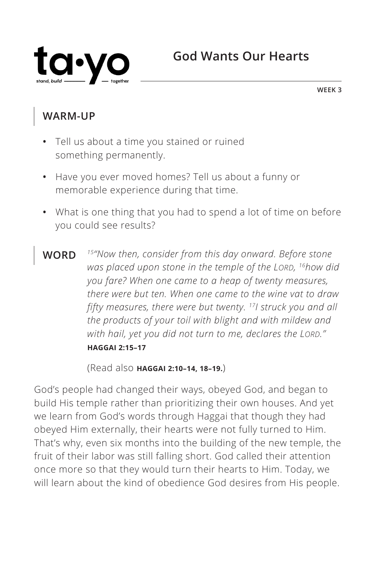

**WEEK 3**

#### **WARM-UP**

- **•** Tell us about a time you stained or ruined something permanently.
- **•** Have you ever moved homes? Tell us about a funny or memorable experience during that time.
- **•** What is one thing that you had to spend a lot of time on before you could see results?
- **WORD** *15"Now then, consider from this day onward. Before stone was placed upon stone in the temple of the LORD, 16how did you fare? When one came to a heap of twenty measures, there were but ten. When one came to the wine vat to draw fifty measures, there were but twenty. 17I struck you and all the products of your toil with blight and with mildew and with hail, yet you did not turn to me, declares the LORD." ^***HAGGAI 2:15–17**

(Read also **^HAGGAI 2:10–14, 18–19.**)

God's people had changed their ways, obeyed God, and began to build His temple rather than prioritizing their own houses. And yet we learn from God's words through Haggai that though they had obeyed Him externally, their hearts were not fully turned to Him. That's why, even six months into the building of the new temple, the fruit of their labor was still falling short. God called their attention once more so that they would turn their hearts to Him. Today, we will learn about the kind of obedience God desires from His people.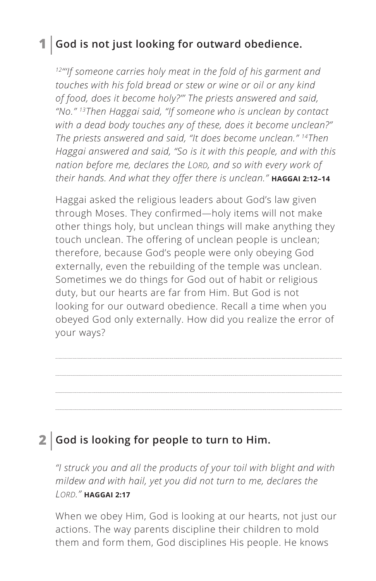### **1 God is not just looking for outward obedience.**

*12"'If someone carries holy meat in the fold of his garment and touches with his fold bread or stew or wine or oil or any kind of food, does it become holy?'" The priests answered and said, "No." 13Then Haggai said, "If someone who is unclean by contact with a dead body touches any of these, does it become unclean?" The priests answered and said, "It does become unclean." 14Then Haggai answered and said, "So is it with this people, and with this nation before me, declares the LORD, and so with every work of their hands. And what they offer there is unclean." ^***HAGGAI 2:12–14**

Haggai asked the religious leaders about God's law given through Moses. They confirmed—holy items will not make other things holy, but unclean things will make anything they touch unclean. The offering of unclean people is unclean; therefore, because God's people were only obeying God externally, even the rebuilding of the temple was unclean. Sometimes we do things for God out of habit or religious duty, but our hearts are far from Him. But God is not looking for our outward obedience. Recall a time when you obeyed God only externally. How did you realize the error of your ways?

#### **2 God is looking for people to turn to Him.**

*"I struck you and all the products of your toil with blight and with mildew and with hail, yet you did not turn to me, declares the LORD." ^***HAGGAI 2:17**

When we obey Him, God is looking at our hearts, not just our actions. The way parents discipline their children to mold them and form them, God disciplines His people. He knows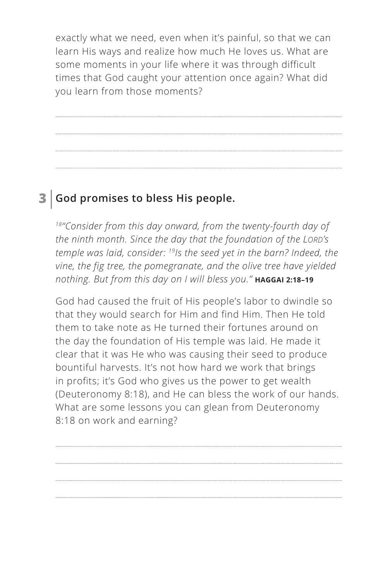exactly what we need, even when it's painful, so that we can learn His ways and realize how much He loves us. What are some moments in your life where it was through difficult times that God caught your attention once again? What did you learn from those moments?

## **3 God promises to bless His people.**

*18"Consider from this day onward, from the twenty-fourth day of the ninth month. Since the day that the foundation of the LORD's temple was laid, consider: 19Is the seed yet in the barn? Indeed, the vine, the fig tree, the pomegranate, and the olive tree have yielded nothing. But from this day on I will bless you." ^***HAGGAI 2:18–19**

God had caused the fruit of His people's labor to dwindle so that they would search for Him and find Him. Then He told them to take note as He turned their fortunes around on the day the foundation of His temple was laid. He made it clear that it was He who was causing their seed to produce bountiful harvests. It's not how hard we work that brings in profits; it's God who gives us the power to get wealth (Deuteronomy 8:18), and He can bless the work of our hands. What are some lessons you can glean from Deuteronomy 8:18 on work and earning?